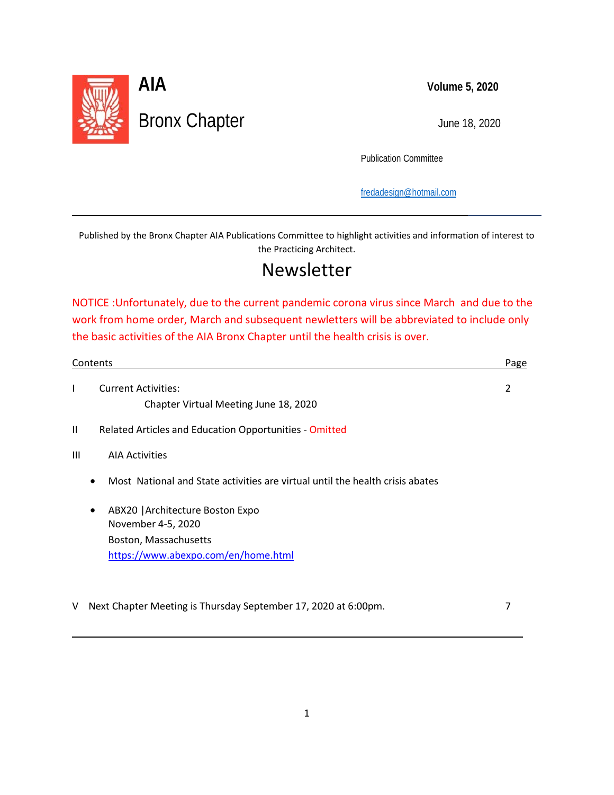

l

 $\overline{\phantom{0}}$ 

Publication Committee

[fredadesign@hotmail.com](mailto:fredadesign@hotmail.com)

Published by the Bronx Chapter AIA Publications Committee to highlight activities and information of interest to the Practicing Architect.

### Newsletter

NOTICE :Unfortunately, due to the current pandemic corona virus since March and due to the work from home order, March and subsequent newletters will be abbreviated to include only the basic activities of the AIA Bronx Chapter until the health crisis is over.

| <b>Current Activities:</b><br>ı<br>Chapter Virtual Meeting June 18, 2020<br>Related Articles and Education Opportunities - Omitted<br>$\mathbf{H}$ | 2 |
|----------------------------------------------------------------------------------------------------------------------------------------------------|---|
|                                                                                                                                                    |   |
|                                                                                                                                                    |   |
|                                                                                                                                                    |   |
| Ш<br><b>AIA Activities</b>                                                                                                                         |   |
| Most National and State activities are virtual until the health crisis abates<br>$\bullet$                                                         |   |
| ABX20   Architecture Boston Expo<br>$\bullet$                                                                                                      |   |
| November 4-5, 2020                                                                                                                                 |   |
| Boston, Massachusetts                                                                                                                              |   |
| https://www.abexpo.com/en/home.html                                                                                                                |   |

V Next Chapter Meeting is Thursday September 17, 2020 at 6:00pm. 7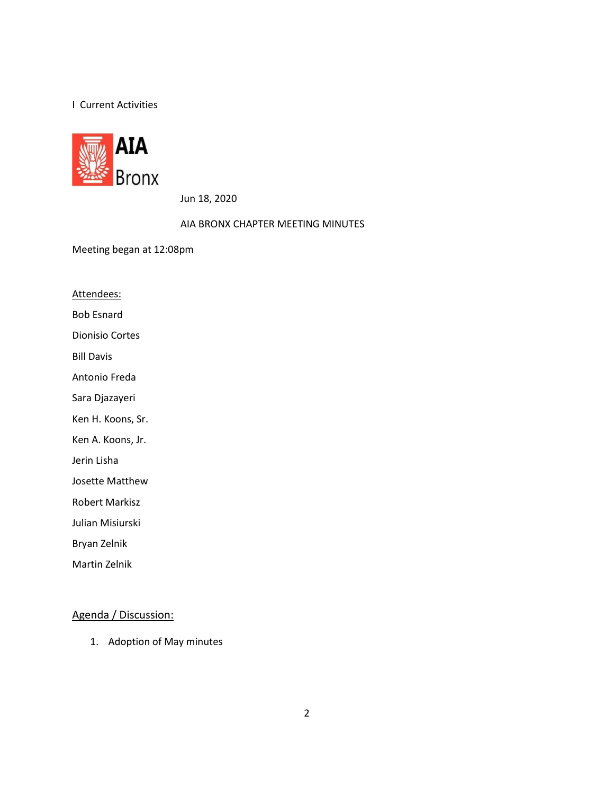#### I Current Activities



Jun 18, 2020

AIA BRONX CHAPTER MEETING MINUTES

Meeting began at 12:08pm

Attendees:

Bob Esnard

Dionisio Cortes

Bill Davis

Antonio Freda

Sara Djazayeri

Ken H. Koons, Sr.

Ken A. Koons, Jr.

Jerin Lisha

Josette Matthew

Robert Markisz

Julian Misiurski

Bryan Zelnik

Martin Zelnik

#### Agenda / Discussion:

1. Adoption of May minutes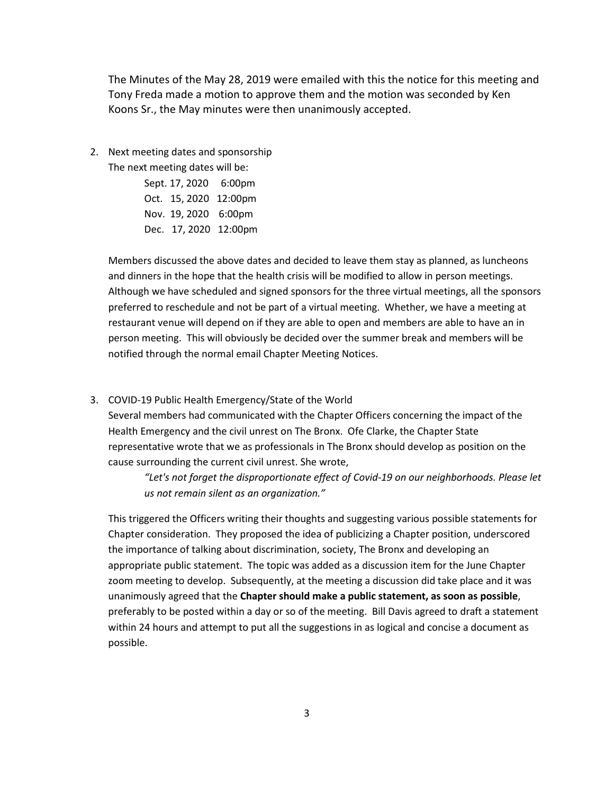The Minutes of the May 28, 2019 were emailed with this the notice for this meeting and Tony Freda made a motion to approve them and the motion was seconded by Ken Koons Sr., the May minutes were then unanimously accepted.

2. Next meeting dates and sponsorship The next meeting dates will be:

> Sept. 17, 2020 6:00pm Oct. 15, 2020 12:00pm Nov. 19, 2020 6:00pm Dec. 17, 2020 12:00pm

Members discussed the above dates and decided to leave them stay as planned, as luncheons and dinners in the hope that the health crisis will be modified to allow in person meetings. Although we have scheduled and signed sponsors for the three virtual meetings, all the sponsors preferred to reschedule and not be part of a virtual meeting. Whether, we have a meeting at restaurant venue will depend on if they are able to open and members are able to have an in person meeting. This will obviously be decided over the summer break and members will be notified through the normal email Chapter Meeting Notices.

3. COVID-19 Public Health Emergency/State of the World

Several members had communicated with the Chapter Officers concerning the impact of the Health Emergency and the civil unrest on The Bronx. Ofe Clarke, the Chapter State representative wrote that we as professionals in The Bronx should develop as position on the cause surrounding the current civil unrest. She wrote,

*"Let's not forget the disproportionate effect of Covid-19 on our neighborhoods. Please let us not remain silent as an organization."* 

This triggered the Officers writing their thoughts and suggesting various possible statements for Chapter consideration. They proposed the idea of publicizing a Chapter position, underscored the importance of talking about discrimination, society, The Bronx and developing an appropriate public statement.The topic was added as a discussion item for the June Chapter zoom meeting to develop. Subsequently, at the meeting a discussion did take place and it was unanimously agreed that the **Chapter should make a public statement, as soon as possible**, preferably to be posted within a day or so of the meeting. Bill Davis agreed to draft a statement within 24 hours and attempt to put all the suggestions in as logical and concise a document as possible.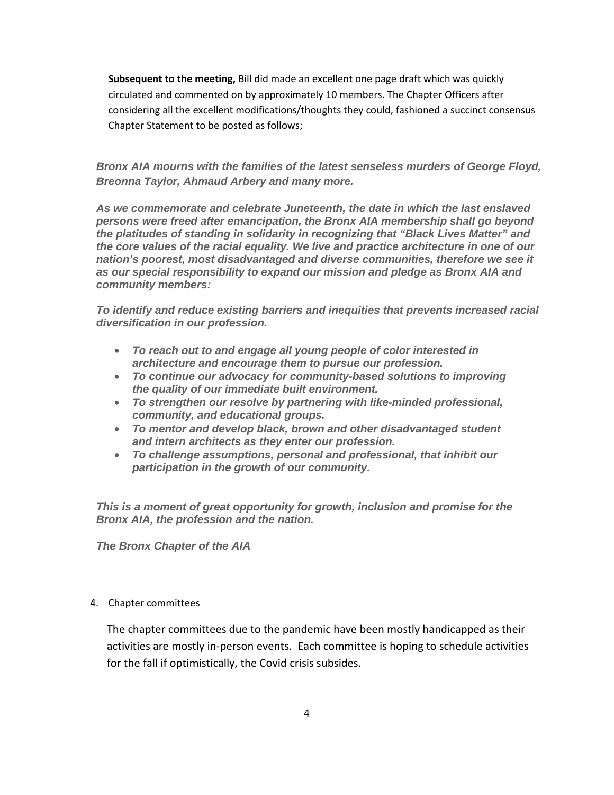**Subsequent to the meeting,** Bill did made an excellent one page draft which was quickly circulated and commented on by approximately 10 members. The Chapter Officers after considering all the excellent modifications/thoughts they could, fashioned a succinct consensus Chapter Statement to be posted as follows;

*Bronx AIA mourns with the families of the latest senseless murders of George Floyd, Breonna Taylor, Ahmaud Arbery and many more.*

*As we commemorate and celebrate Juneteenth, the date in which the last enslaved persons were freed after emancipation, the Bronx AIA membership shall go beyond the platitudes of standing in solidarity in recognizing that "Black Lives Matter" and the core values of the racial equality. We live and practice architecture in one of our nation's poorest, most disadvantaged and diverse communities, therefore we see it as our special responsibility to expand our mission and pledge as Bronx AIA and community members:*

*To identify and reduce existing barriers and inequities that prevents increased racial diversification in our profession.*

- *To reach out to and engage all young people of color interested in architecture and encourage them to pursue our profession.*
- *To continue our advocacy for community-based solutions to improving the quality of our immediate built environment.*
- *To strengthen our resolve by partnering with like-minded professional, community, and educational groups.*
- *To mentor and develop black, brown and other disadvantaged student and intern architects as they enter our profession.*
- *To challenge assumptions, personal and professional, that inhibit our participation in the growth of our community.*

*This is a moment of great opportunity for growth, inclusion and promise for the Bronx AIA, the profession and the nation.*

*The Bronx Chapter of the AIA*

#### 4. Chapter committees

The chapter committees due to the pandemic have been mostly handicapped as their activities are mostly in-person events. Each committee is hoping to schedule activities for the fall if optimistically, the Covid crisis subsides.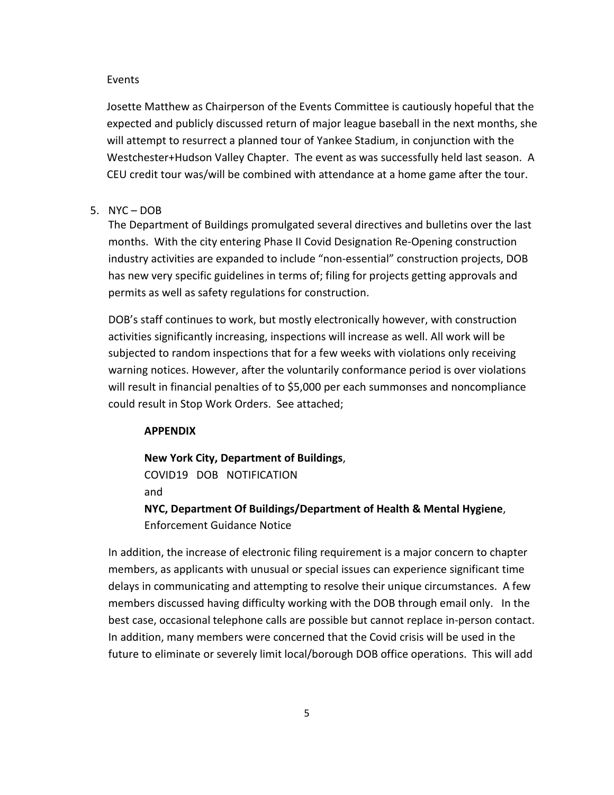#### Events

Josette Matthew as Chairperson of the Events Committee is cautiously hopeful that the expected and publicly discussed return of major league baseball in the next months, she will attempt to resurrect a planned tour of Yankee Stadium, in conjunction with the Westchester+Hudson Valley Chapter. The event as was successfully held last season. A CEU credit tour was/will be combined with attendance at a home game after the tour.

#### 5. NYC – DOB

The Department of Buildings promulgated several directives and bulletins over the last months. With the city entering Phase II Covid Designation Re-Opening construction industry activities are expanded to include "non-essential" construction projects, DOB has new very specific guidelines in terms of; filing for projects getting approvals and permits as well as safety regulations for construction.

DOB's staff continues to work, but mostly electronically however, with construction activities significantly increasing, inspections will increase as well. All work will be subjected to random inspections that for a few weeks with violations only receiving warning notices. However, after the voluntarily conformance period is over violations will result in financial penalties of to \$5,000 per each summonses and noncompliance could result in Stop Work Orders. See attached;

#### **APPENDIX**

**New York City, Department of Buildings**, COVID19 DOB NOTIFICATION and **NYC, Department Of Buildings/Department of Health & Mental Hygiene**,

Enforcement Guidance Notice

In addition, the increase of electronic filing requirement is a major concern to chapter members, as applicants with unusual or special issues can experience significant time delays in communicating and attempting to resolve their unique circumstances. A few members discussed having difficulty working with the DOB through email only. In the best case, occasional telephone calls are possible but cannot replace in-person contact. In addition, many members were concerned that the Covid crisis will be used in the future to eliminate or severely limit local/borough DOB office operations. This will add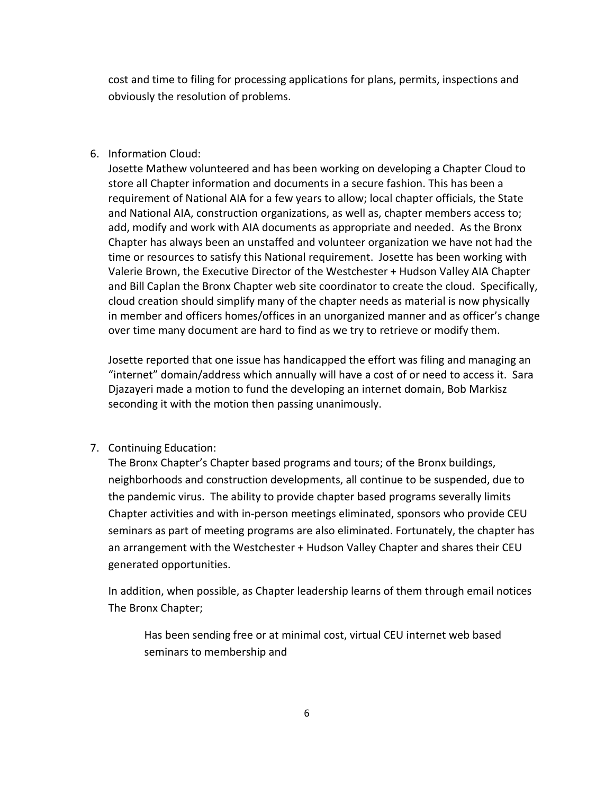cost and time to filing for processing applications for plans, permits, inspections and obviously the resolution of problems.

#### 6. Information Cloud:

Josette Mathew volunteered and has been working on developing a Chapter Cloud to store all Chapter information and documents in a secure fashion. This has been a requirement of National AIA for a few years to allow; local chapter officials, the State and National AIA, construction organizations, as well as, chapter members access to; add, modify and work with AIA documents as appropriate and needed. As the Bronx Chapter has always been an unstaffed and volunteer organization we have not had the time or resources to satisfy this National requirement. Josette has been working with Valerie Brown, the Executive Director of the Westchester + Hudson Valley AIA Chapter and Bill Caplan the Bronx Chapter web site coordinator to create the cloud. Specifically, cloud creation should simplify many of the chapter needs as material is now physically in member and officers homes/offices in an unorganized manner and as officer's change over time many document are hard to find as we try to retrieve or modify them.

Josette reported that one issue has handicapped the effort was filing and managing an "internet" domain/address which annually will have a cost of or need to access it. Sara Djazayeri made a motion to fund the developing an internet domain, Bob Markisz seconding it with the motion then passing unanimously.

#### 7. Continuing Education:

The Bronx Chapter's Chapter based programs and tours; of the Bronx buildings, neighborhoods and construction developments, all continue to be suspended, due to the pandemic virus. The ability to provide chapter based programs severally limits Chapter activities and with in-person meetings eliminated, sponsors who provide CEU seminars as part of meeting programs are also eliminated. Fortunately, the chapter has an arrangement with the Westchester + Hudson Valley Chapter and shares their CEU generated opportunities.

In addition, when possible, as Chapter leadership learns of them through email notices The Bronx Chapter;

Has been sending free or at minimal cost, virtual CEU internet web based seminars to membership and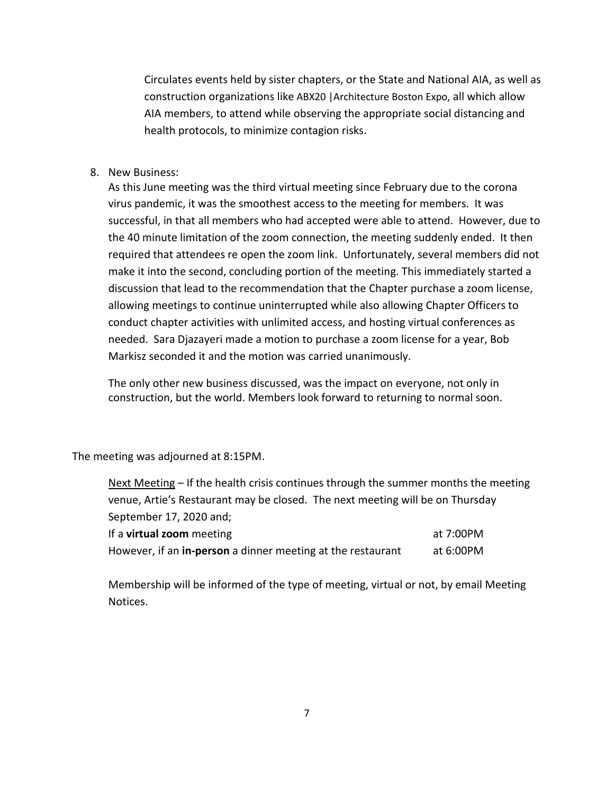Circulates events held by sister chapters, or the State and National AIA, as well as construction organizations like ABX20 |Architecture Boston Expo, all which allow AIA members, to attend while observing the appropriate social distancing and health protocols, to minimize contagion risks.

8. New Business:

As this June meeting was the third virtual meeting since February due to the corona virus pandemic, it was the smoothest access to the meeting for members. It was successful, in that all members who had accepted were able to attend. However, due to the 40 minute limitation of the zoom connection, the meeting suddenly ended. It then required that attendees re open the zoom link. Unfortunately, several members did not make it into the second, concluding portion of the meeting. This immediately started a discussion that lead to the recommendation that the Chapter purchase a zoom license, allowing meetings to continue uninterrupted while also allowing Chapter Officers to conduct chapter activities with unlimited access, and hosting virtual conferences as needed. Sara Djazayeri made a motion to purchase a zoom license for a year, Bob Markisz seconded it and the motion was carried unanimously.

The only other new business discussed, was the impact on everyone, not only in construction, but the world. Members look forward to returning to normal soon.

The meeting was adjourned at 8:15PM.

| Next Meeting – If the health crisis continues through the summer months the meeting |           |  |  |
|-------------------------------------------------------------------------------------|-----------|--|--|
| venue, Artie's Restaurant may be closed. The next meeting will be on Thursday       |           |  |  |
| September 17, 2020 and;                                                             |           |  |  |
| If a <b>virtual zoom</b> meeting                                                    | at 7:00PM |  |  |
| However, if an in-person a dinner meeting at the restaurant                         | at 6:00PM |  |  |

Membership will be informed of the type of meeting, virtual or not, by email Meeting Notices.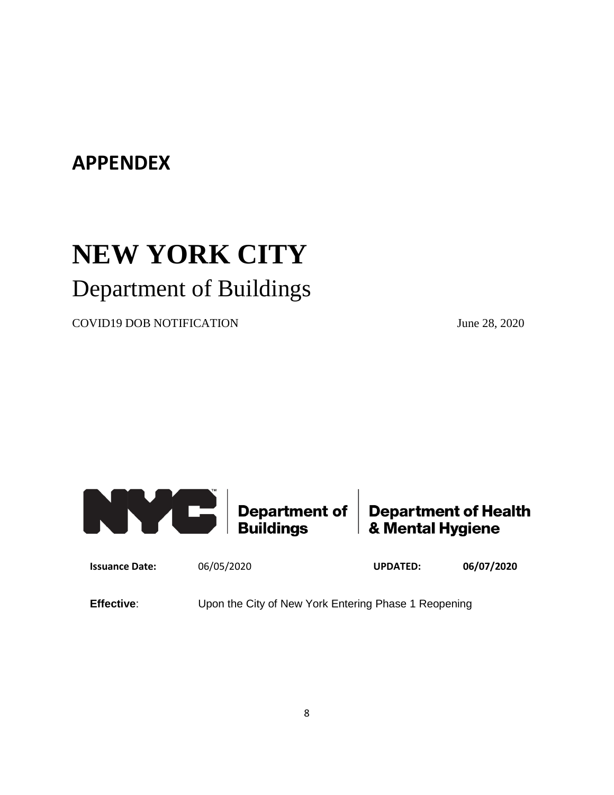### **APPENDEX**

# **NEW YORK CITY**  Department of Buildings

COVID19 DOB NOTIFICATION June 28, 2020



**Issuance Date:** 06/05/2020 **UPDATED: 06/07/2020**

**Effective:** Upon the City of New York Entering Phase 1 Reopening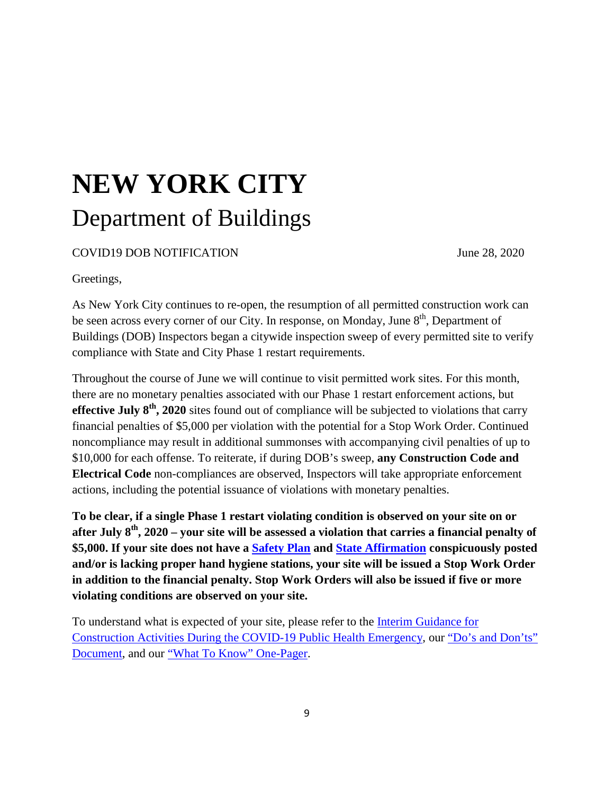## **NEW YORK CITY**  Department of Buildings

COVID19 DOB NOTIFICATION June 28, 2020

Greetings,

As New York City continues to re-open, the resumption of all permitted construction work can be seen across every corner of our City. In response, on Monday, June  $8<sup>th</sup>$ , Department of Buildings (DOB) Inspectors began a citywide inspection sweep of every permitted site to verify compliance with State and City Phase 1 restart requirements.

Throughout the course of June we will continue to visit permitted work sites. For this month, there are no monetary penalties associated with our Phase 1 restart enforcement actions, but **effective July 8th, 2020** sites found out of compliance will be subjected to violations that carry financial penalties of \$5,000 per violation with the potential for a Stop Work Order. Continued noncompliance may result in additional summonses with accompanying civil penalties of up to \$10,000 for each offense. To reiterate, if during DOB's sweep, **any Construction Code and Electrical Code** non-compliances are observed, Inspectors will take appropriate enforcement actions, including the potential issuance of violations with monetary penalties.

**To be clear, if a single Phase 1 restart violating condition is observed on your site on or after July 8th, 2020 – your site will be assessed a violation that carries a financial penalty of \$5,000. If your site does not have a [Safety Plan](https://gcc01.safelinks.protection.outlook.com/?url=https%3A%2F%2Focfs.ny.gov%2Fmain%2Fnews%2F2020%2FCOVID-2020Jun08-Guidance-Reopening-Plan-Template.pdf&data=02%7C01%7CCRPonnathota%40buildings.nyc.gov%7Cd4b1c3e3768b4aa3d1d508d81ad9fc9f%7C32f56fc75f814e22a95b15da66513bef%7C0%7C0%7C637288870832081164&sdata=YzSRcTMmyCR6%2B45r3LyvAkefPBbSf85RB5j7on4J2ME%3D&reserved=0) and [State Affirmation](https://gcc01.safelinks.protection.outlook.com/?url=https%3A%2F%2Fforms.ny.gov%2Fs3%2Fny-forward-affirmation&data=02%7C01%7CCRPonnathota%40buildings.nyc.gov%7Cd4b1c3e3768b4aa3d1d508d81ad9fc9f%7C32f56fc75f814e22a95b15da66513bef%7C0%7C0%7C637288870832081164&sdata=1YnP3hB51JIB6g%2B%2FIpYT7dceHauijxEjx4ro3MIh%2FTo%3D&reserved=0) conspicuously posted and/or is lacking proper hand hygiene stations, your site will be issued a Stop Work Order in addition to the financial penalty. Stop Work Orders will also be issued if five or more violating conditions are observed on your site.**

To understand what is expected of your site, please refer to the [Interim Guidance for](https://gcc01.safelinks.protection.outlook.com/?url=https%3A%2F%2Fwww.governor.ny.gov%2Fsites%2Fgovernor.ny.gov%2Ffiles%2Fatoms%2Ffiles%2FConstructionMasterGuidance.pdf&data=02%7C01%7CCRPonnathota%40buildings.nyc.gov%7Cd4b1c3e3768b4aa3d1d508d81ad9fc9f%7C32f56fc75f814e22a95b15da66513bef%7C0%7C0%7C637288870832091112&sdata=srHncFEEV9sF2JpzxWmEuh0oB2UBnLhWO156Q%2BRtCV8%3D&reserved=0)  [Construction Activities During the COVID-19 Public Health Emergency,](https://gcc01.safelinks.protection.outlook.com/?url=https%3A%2F%2Fwww.governor.ny.gov%2Fsites%2Fgovernor.ny.gov%2Ffiles%2Fatoms%2Ffiles%2FConstructionMasterGuidance.pdf&data=02%7C01%7CCRPonnathota%40buildings.nyc.gov%7Cd4b1c3e3768b4aa3d1d508d81ad9fc9f%7C32f56fc75f814e22a95b15da66513bef%7C0%7C0%7C637288870832091112&sdata=srHncFEEV9sF2JpzxWmEuh0oB2UBnLhWO156Q%2BRtCV8%3D&reserved=0) our ["Do's and Don'ts"](https://gcc01.safelinks.protection.outlook.com/?url=https%3A%2F%2Fwww1.nyc.gov%2Fassets%2Fbuildings%2Fpdf%2Fnyc_construction_restart_list.pdf&data=02%7C01%7CCRPonnathota%40buildings.nyc.gov%7Cd4b1c3e3768b4aa3d1d508d81ad9fc9f%7C32f56fc75f814e22a95b15da66513bef%7C0%7C0%7C637288870832091112&sdata=HMO0z2Liy%2FrL6vf372S0jvMue6YIg9226ENKgu18my4%3D&reserved=0)  [Document,](https://gcc01.safelinks.protection.outlook.com/?url=https%3A%2F%2Fwww1.nyc.gov%2Fassets%2Fbuildings%2Fpdf%2Fnyc_construction_restart_list.pdf&data=02%7C01%7CCRPonnathota%40buildings.nyc.gov%7Cd4b1c3e3768b4aa3d1d508d81ad9fc9f%7C32f56fc75f814e22a95b15da66513bef%7C0%7C0%7C637288870832091112&sdata=HMO0z2Liy%2FrL6vf372S0jvMue6YIg9226ENKgu18my4%3D&reserved=0) and our ["What To Know" One-Pager.](https://gcc01.safelinks.protection.outlook.com/?url=https%3A%2F%2Fwww1.nyc.gov%2Fassets%2Fbuildings%2Fpdf%2Fphase1.pdf&data=02%7C01%7CCRPonnathota%40buildings.nyc.gov%7Cd4b1c3e3768b4aa3d1d508d81ad9fc9f%7C32f56fc75f814e22a95b15da66513bef%7C0%7C0%7C637288870832101064&sdata=FjwDm5JcGXv6MTTzD%2BSUJxpdBFZzVAGfJlKzQ%2FHI%2FHY%3D&reserved=0)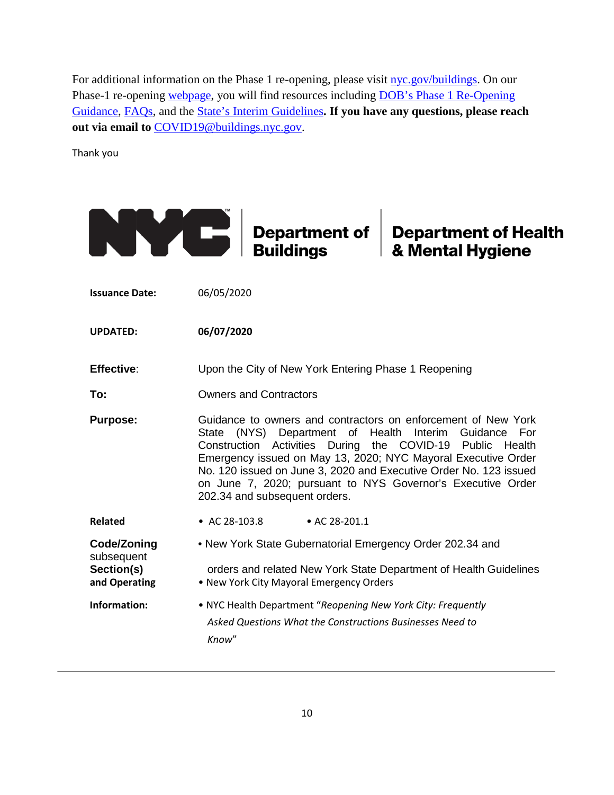For additional information on the Phase 1 re-opening, please visit [nyc.gov/buildings.](https://gcc01.safelinks.protection.outlook.com/?url=http%3A%2F%2Fnyc.gov%2Fbuildings&data=02%7C01%7CCRPonnathota%40buildings.nyc.gov%7Cd4b1c3e3768b4aa3d1d508d81ad9fc9f%7C32f56fc75f814e22a95b15da66513bef%7C0%7C0%7C637288870832101064&sdata=xaDM3vTXe4LIRrYqmlyRXidUJl56eZdhfVweJxFjoLI%3D&reserved=0) On our Phase-1 re-opening [webpage,](https://gcc01.safelinks.protection.outlook.com/?url=https%3A%2F%2Fwww1.nyc.gov%2Fsite%2Fbuildings%2Fabout%2Frestart-phase-1.page&data=02%7C01%7CCRPonnathota%40buildings.nyc.gov%7Cd4b1c3e3768b4aa3d1d508d81ad9fc9f%7C32f56fc75f814e22a95b15da66513bef%7C0%7C0%7C637288870832111021&sdata=JGhb7EITR1fd4kRazNFsC8CFPhPnp0d95FYuogYnf6U%3D&reserved=0) you will find resources including DOB's Phase 1 Re-Opening [Guidance,](https://gcc01.safelinks.protection.outlook.com/?url=https%3A%2F%2Fwww1.nyc.gov%2Fassets%2Fbuildings%2Fpdf%2Frestart_enforcement_guidance.pdf&data=02%7C01%7CCRPonnathota%40buildings.nyc.gov%7Cd4b1c3e3768b4aa3d1d508d81ad9fc9f%7C32f56fc75f814e22a95b15da66513bef%7C0%7C0%7C637288870832111021&sdata=qFEVY4h8WV2oqF88k%2FHBgL1wMQLWjm%2BBUGkyjhXoD10%3D&reserved=0) [FAQs,](https://gcc01.safelinks.protection.outlook.com/?url=https%3A%2F%2Fwww1.nyc.gov%2Fassets%2Fbuildings%2Fpdf%2Fphase1_faqs.pdf&data=02%7C01%7CCRPonnathota%40buildings.nyc.gov%7Cd4b1c3e3768b4aa3d1d508d81ad9fc9f%7C32f56fc75f814e22a95b15da66513bef%7C0%7C0%7C637288870832111021&sdata=qD3tyiI145HYrW1OFxTfErKV8St7pj72iAneh%2Fj9bLE%3D&reserved=0) and the [State's Interim Guidelines](https://gcc01.safelinks.protection.outlook.com/?url=https%3A%2F%2Fwww1.nyc.gov%2Fassets%2Fbuildings%2Fpdf%2FConstructionMasterGuidance.pdf&data=02%7C01%7CCRPonnathota%40buildings.nyc.gov%7Cd4b1c3e3768b4aa3d1d508d81ad9fc9f%7C32f56fc75f814e22a95b15da66513bef%7C0%7C0%7C637288870832121008&sdata=3v9xeaSHioka6CfUctO8UWRSQCDhTmAWLlfy2YjNjyk%3D&reserved=0)**. If you have any questions, please reach out via email to** [COVID19@buildings.nyc.gov.](mailto:COVID19@buildings.nyc.gov)

Thank you

|                                                          | Department of<br><b>Buildings</b>                                                                                                                                                                                                                                                                                                                                                                                                  | <b>Department of Health</b><br>& Mental Hygiene |  |
|----------------------------------------------------------|------------------------------------------------------------------------------------------------------------------------------------------------------------------------------------------------------------------------------------------------------------------------------------------------------------------------------------------------------------------------------------------------------------------------------------|-------------------------------------------------|--|
| <b>Issuance Date:</b>                                    | 06/05/2020                                                                                                                                                                                                                                                                                                                                                                                                                         |                                                 |  |
| <b>UPDATED:</b>                                          | 06/07/2020                                                                                                                                                                                                                                                                                                                                                                                                                         |                                                 |  |
| <b>Effective:</b>                                        | Upon the City of New York Entering Phase 1 Reopening                                                                                                                                                                                                                                                                                                                                                                               |                                                 |  |
| To:                                                      | <b>Owners and Contractors</b>                                                                                                                                                                                                                                                                                                                                                                                                      |                                                 |  |
| <b>Purpose:</b>                                          | Guidance to owners and contractors on enforcement of New York<br>State (NYS) Department of<br>Health Interim Guidance<br>For<br>Construction Activities During the COVID-19 Public<br>Health<br>Emergency issued on May 13, 2020; NYC Mayoral Executive Order<br>No. 120 issued on June 3, 2020 and Executive Order No. 123 issued<br>on June 7, 2020; pursuant to NYS Governor's Executive Order<br>202.34 and subsequent orders. |                                                 |  |
| <b>Related</b>                                           | • AC 28-103.8<br>• AC 28-201.1                                                                                                                                                                                                                                                                                                                                                                                                     |                                                 |  |
| Code/Zoning<br>subsequent<br>Section(s)<br>and Operating | • New York State Gubernatorial Emergency Order 202.34 and<br>orders and related New York State Department of Health Guidelines<br>. New York City Mayoral Emergency Orders                                                                                                                                                                                                                                                         |                                                 |  |
| Information:                                             | • NYC Health Department "Reopening New York City: Frequently<br>Asked Questions What the Constructions Businesses Need to<br>Know"                                                                                                                                                                                                                                                                                                 |                                                 |  |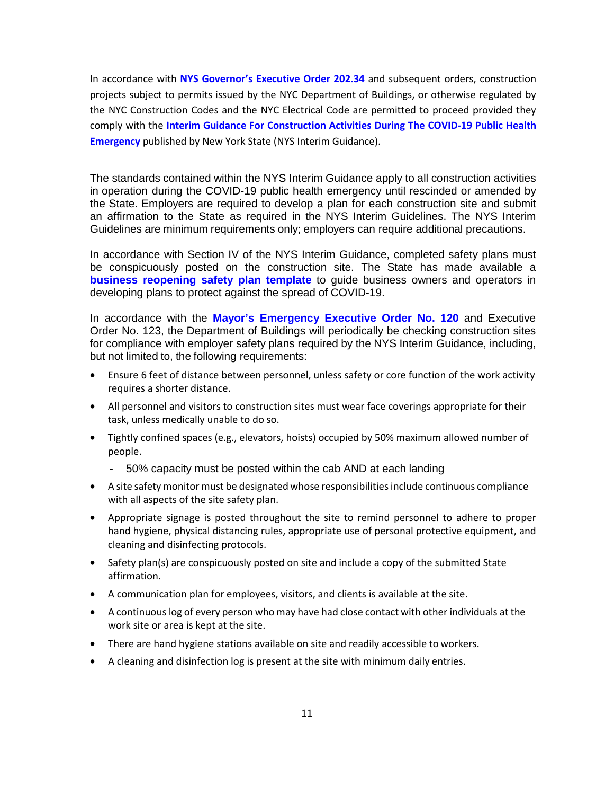In accordance with **NYS Governor's Executive Order 202.34** and subsequent orders, construction projects subject to permits issued by the NYC Department of Buildings, or otherwise regulated by the NYC Construction Codes and the NYC Electrical Code are permitted to proceed provided they comply with the **Interim Guidance For Construction Activities During The COVID-19 Public Health Emergency** published by New York State (NYS Interim Guidance).

The standards contained within the NYS Interim Guidance apply to all construction activities in operation during the COVID-19 public health emergency until rescinded or amended by the State. Employers are required to develop a plan for each construction site and submit an affirmation to the State as required in the NYS Interim Guidelines. The NYS Interim Guidelines are minimum requirements only; employers can require additional precautions.

In accordance with Section IV of the NYS Interim Guidance, completed safety plans must be conspicuously posted on the construction site. The State has made available a **business reopening safety plan template** to guide business owners and operators in developing plans to protect against the spread of COVID-19.

In accordance with the **Mayor's Emergency Executive Order No. 120** and Executive Order No. 123, the Department of Buildings will periodically be checking construction sites for compliance with employer safety plans required by the NYS Interim Guidance, including, but not limited to, the following requirements:

- Ensure 6 feet of distance between personnel, unless safety or core function of the work activity requires a shorter distance.
- All personnel and visitors to construction sites must wear face coverings appropriate for their task, unless medically unable to do so.
- Tightly confined spaces (e.g., elevators, hoists) occupied by 50% maximum allowed number of people.
	- 50% capacity must be posted within the cab AND at each landing
- A site safety monitor must be designated whose responsibilities include continuous compliance with all aspects of the site safety plan.
- Appropriate signage is posted throughout the site to remind personnel to adhere to proper hand hygiene, physical distancing rules, appropriate use of personal protective equipment, and cleaning and disinfecting protocols.
- Safety plan(s) are conspicuously posted on site and include a copy of the submitted State affirmation.
- A communication plan for employees, visitors, and clients is available at the site.
- A continuous log of every person who may have had close contact with other individuals at the work site or area is kept at the site.
- There are hand hygiene stations available on site and readily accessible to workers.
- A cleaning and disinfection log is present at the site with minimum daily entries.